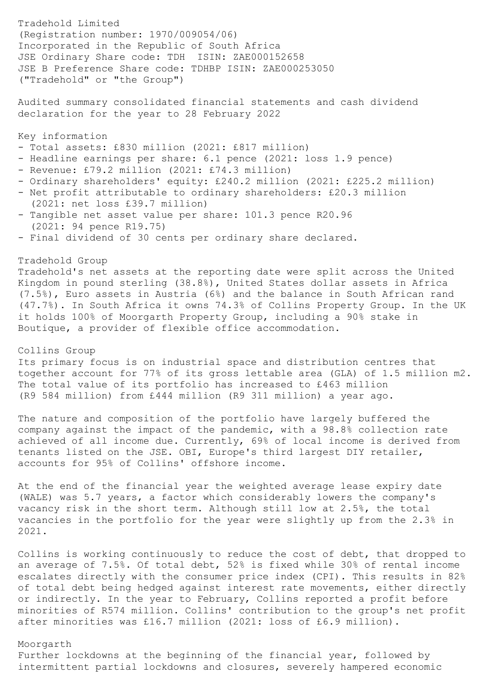Tradehold Limited (Registration number: 1970/009054/06) Incorporated in the Republic of South Africa JSE Ordinary Share code: TDH ISIN: ZAE000152658 JSE B Preference Share code: TDHBP ISIN: ZAE000253050 ("Tradehold" or "the Group") Audited summary consolidated financial statements and cash dividend declaration for the year to 28 February 2022 Key information - Total assets: £830 million (2021: £817 million) - Headline earnings per share: 6.1 pence (2021: loss 1.9 pence) - Revenue: £79.2 million (2021: £74.3 million) - Ordinary shareholders' equity: £240.2 million (2021: £225.2 million) - Net profit attributable to ordinary shareholders: £20.3 million (2021: net loss £39.7 million) - Tangible net asset value per share: 101.3 pence R20.96 (2021: 94 pence R19.75) - Final dividend of 30 cents per ordinary share declared. Tradehold Group Tradehold's net assets at the reporting date were split across the United Kingdom in pound sterling (38.8%), United States dollar assets in Africa (7.5%), Euro assets in Austria (6%) and the balance in South African rand (47.7%). In South Africa it owns 74.3% of Collins Property Group. In the UK it holds 100% of Moorgarth Property Group, including a 90% stake in Boutique, a provider of flexible office accommodation. Collins Group Its primary focus is on industrial space and distribution centres that together account for 77% of its gross lettable area (GLA) of 1.5 million m2. The total value of its portfolio has increased to £463 million (R9 584 million) from £444 million (R9 311 million) a year ago. The nature and composition of the portfolio have largely buffered the company against the impact of the pandemic, with a 98.8% collection rate achieved of all income due. Currently, 69% of local income is derived from

At the end of the financial year the weighted average lease expiry date (WALE) was 5.7 years, a factor which considerably lowers the company's vacancy risk in the short term. Although still low at 2.5%, the total vacancies in the portfolio for the year were slightly up from the 2.3% in 2021.

tenants listed on the JSE. OBI, Europe's third largest DIY retailer,

accounts for 95% of Collins' offshore income.

Collins is working continuously to reduce the cost of debt, that dropped to an average of 7.5%. Of total debt, 52% is fixed while 30% of rental income escalates directly with the consumer price index (CPI). This results in 82% of total debt being hedged against interest rate movements, either directly or indirectly. In the year to February, Collins reported a profit before minorities of R574 million. Collins' contribution to the group's net profit after minorities was £16.7 million (2021: loss of £6.9 million).

### Moorgarth

Further lockdowns at the beginning of the financial year, followed by intermittent partial lockdowns and closures, severely hampered economic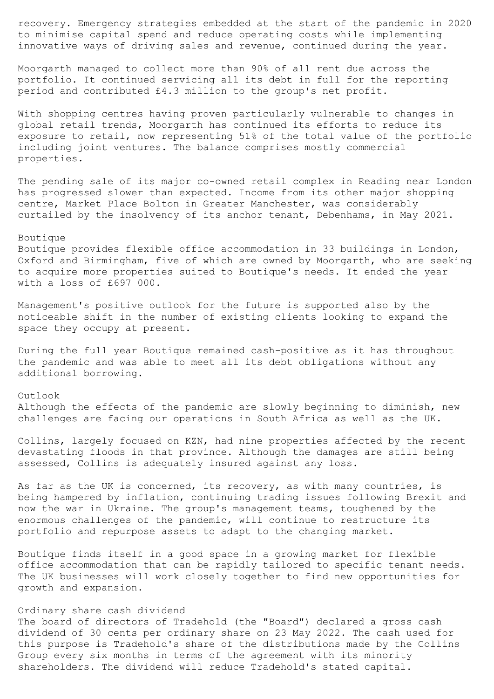recovery. Emergency strategies embedded at the start of the pandemic in 2020 to minimise capital spend and reduce operating costs while implementing innovative ways of driving sales and revenue, continued during the year.

Moorgarth managed to collect more than 90% of all rent due across the portfolio. It continued servicing all its debt in full for the reporting period and contributed £4.3 million to the group's net profit.

With shopping centres having proven particularly vulnerable to changes in global retail trends, Moorgarth has continued its efforts to reduce its exposure to retail, now representing 51% of the total value of the portfolio including joint ventures. The balance comprises mostly commercial properties.

The pending sale of its major co-owned retail complex in Reading near London has progressed slower than expected. Income from its other major shopping centre, Market Place Bolton in Greater Manchester, was considerably curtailed by the insolvency of its anchor tenant, Debenhams, in May 2021.

## Boutique

Boutique provides flexible office accommodation in 33 buildings in London, Oxford and Birmingham, five of which are owned by Moorgarth, who are seeking to acquire more properties suited to Boutique's needs. It ended the year with a loss of £697 000.

Management's positive outlook for the future is supported also by the noticeable shift in the number of existing clients looking to expand the space they occupy at present.

During the full year Boutique remained cash-positive as it has throughout the pandemic and was able to meet all its debt obligations without any additional borrowing.

# Outlook Although the effects of the pandemic are slowly beginning to diminish, new challenges are facing our operations in South Africa as well as the UK.

Collins, largely focused on KZN, had nine properties affected by the recent devastating floods in that province. Although the damages are still being assessed, Collins is adequately insured against any loss.

As far as the UK is concerned, its recovery, as with many countries, is being hampered by inflation, continuing trading issues following Brexit and now the war in Ukraine. The group's management teams, toughened by the enormous challenges of the pandemic, will continue to restructure its portfolio and repurpose assets to adapt to the changing market.

Boutique finds itself in a good space in a growing market for flexible office accommodation that can be rapidly tailored to specific tenant needs. The UK businesses will work closely together to find new opportunities for growth and expansion.

## Ordinary share cash dividend

The board of directors of Tradehold (the "Board") declared a gross cash dividend of 30 cents per ordinary share on 23 May 2022. The cash used for this purpose is Tradehold's share of the distributions made by the Collins Group every six months in terms of the agreement with its minority shareholders. The dividend will reduce Tradehold's stated capital.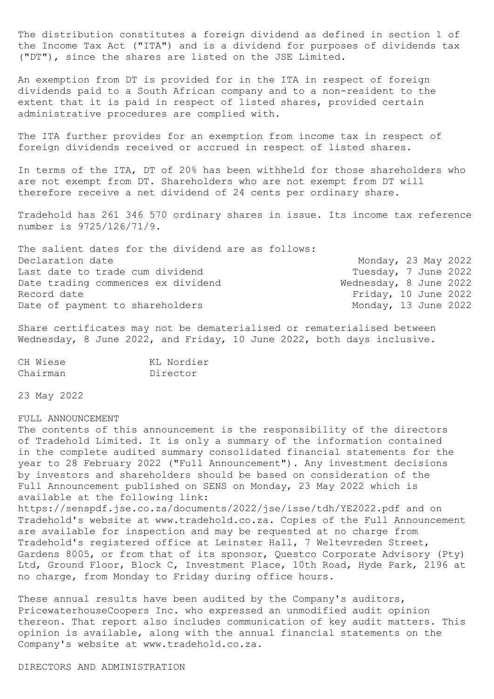The distribution constitutes a foreign dividend as defined in section 1 of the Income Tax Act ("ITA") and is a dividend for purposes of dividends tax ("DT"), since the shares are listed on the JSE Limited.

An exemption from DT is provided for in the ITA in respect of foreign dividends paid to a South African company and to a non-resident to the extent that it is paid in respect of listed shares, provided certain administrative procedures are complied with.

The ITA further provides for an exemption from income tax in respect of foreign dividends received or accrued in respect of listed shares.

In terms of the ITA, DT of 20% has been withheld for those shareholders who are not exempt from DT. Shareholders who are not exempt from DT will therefore receive a net dividend of 24 cents per ordinary share.

Tradehold has 261 346 570 ordinary shares in issue. Its income tax reference number is 9725/126/71/9.

| The salient dates for the dividend are as follows: |                        |  |  |
|----------------------------------------------------|------------------------|--|--|
| Declaration date                                   | Monday, 23 May 2022    |  |  |
| Last date to trade cum dividend                    | Tuesday, 7 June 2022   |  |  |
| Date trading commences ex dividend                 | Wednesday, 8 June 2022 |  |  |
| Record date                                        | Friday, 10 June 2022   |  |  |
| Date of payment to shareholders                    | Monday, 13 June 2022   |  |  |

Share certificates may not be dematerialised or rematerialised between Wednesday, 8 June 2022, and Friday, 10 June 2022, both days inclusive.

| CH Wiese | KL Nordier |
|----------|------------|
| Chairman | Director   |

23 May 2022

#### FULL ANNOUNCEMENT

The contents of this announcement is the responsibility of the directors of Tradehold Limited. It is only a summary of the information contained in the complete audited summary consolidated financial statements for the year to 28 February 2022 ("Full Announcement"). Any investment decisions by investors and shareholders should be based on consideration of the Full Announcement published on SENS on Monday, 23 May 2022 which is available at the following link: https://senspdf.jse.co.za/documents/2022/jse/isse/tdh/YE2022.pdf and on Tradehold's website at www.tradehold.co.za. Copies of the Full Announcement are available for inspection and may be requested at no charge from Tradehold's registered office at Leinster Hall, 7 Weltevreden Street,

Gardens 8005, or from that of its sponsor, Questco Corporate Advisory (Pty) Ltd, Ground Floor, Block C, Investment Place, 10th Road, Hyde Park, 2196 at no charge, from Monday to Friday during office hours.

These annual results have been audited by the Company's auditors, PricewaterhouseCoopers Inc. who expressed an unmodified audit opinion thereon. That report also includes communication of key audit matters. This opinion is available, along with the annual financial statements on the Company's website at www.tradehold.co.za.

DIRECTORS AND ADMINISTRATION